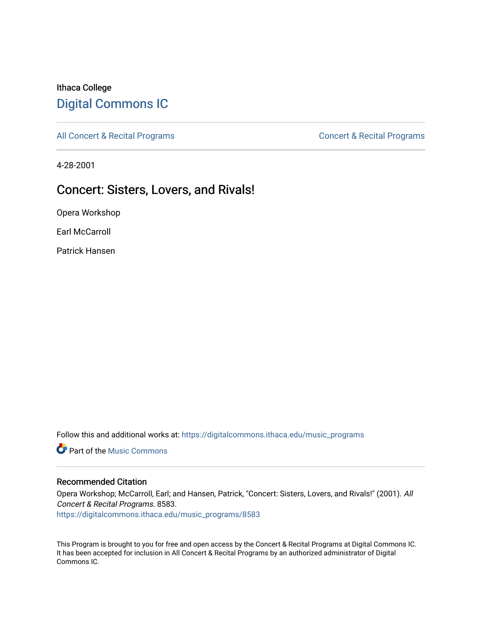# Ithaca College [Digital Commons IC](https://digitalcommons.ithaca.edu/)

[All Concert & Recital Programs](https://digitalcommons.ithaca.edu/music_programs) **Concert & Recital Programs** Concert & Recital Programs

4-28-2001

# Concert: Sisters, Lovers, and Rivals!

Opera Workshop

Earl McCarroll

Patrick Hansen

Follow this and additional works at: [https://digitalcommons.ithaca.edu/music\\_programs](https://digitalcommons.ithaca.edu/music_programs?utm_source=digitalcommons.ithaca.edu%2Fmusic_programs%2F8583&utm_medium=PDF&utm_campaign=PDFCoverPages) 

**C** Part of the Music Commons

### Recommended Citation

Opera Workshop; McCarroll, Earl; and Hansen, Patrick, "Concert: Sisters, Lovers, and Rivals!" (2001). All Concert & Recital Programs. 8583.

[https://digitalcommons.ithaca.edu/music\\_programs/8583](https://digitalcommons.ithaca.edu/music_programs/8583?utm_source=digitalcommons.ithaca.edu%2Fmusic_programs%2F8583&utm_medium=PDF&utm_campaign=PDFCoverPages) 

This Program is brought to you for free and open access by the Concert & Recital Programs at Digital Commons IC. It has been accepted for inclusion in All Concert & Recital Programs by an authorized administrator of Digital Commons IC.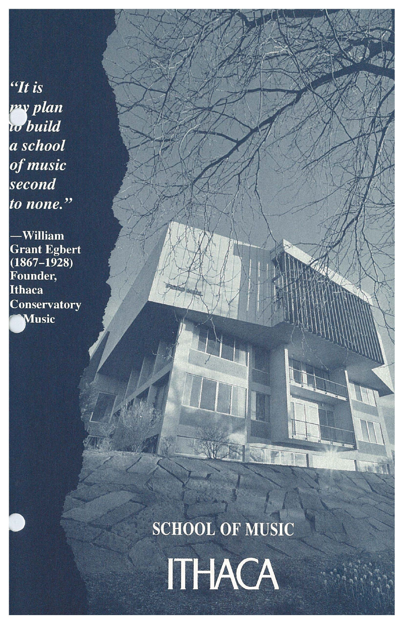$H$  is my plan w build a school of music second to none."

-William **Grant Egbert**<br>(1867–1928) Founder, **Ithaca Conservatory** Music

**SCHOOL OF MUSIC** 

**SALE** 

ITHACA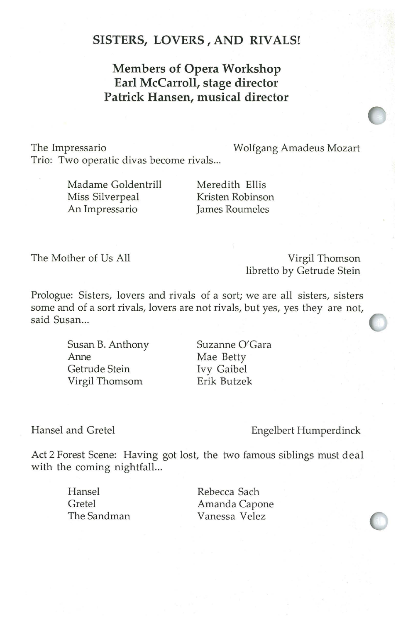## **SISTERS, LOVERS , AND RIVALS!**

## **Members of Opera Workshop Earl Mccarroll, stage director Patrick Hansen, musical director**

The lmpressario Wolfgang Amadeus Mozart Trio: Two operatic divas become rivals...

> Madame Goldentrill Miss Silverpeal An Impressario

Meredith Ellis Kristen Robinson James Roumeles

The Mother of Us All

Virgil Thomson libretto by Getrude Stein

Prologue: Sisters, lovers and rivals of a sort; we are all sisters, sisters some and of a sort rivals, lovers are not rivals, but yes, yes they are not, said Susan...

> Susan B. Anthony Anne Getrude Stein Virgil Thomsom

Suzanne O'Gara Mae Betty Ivy Gaibel Erik Butzek

Hansel and Gretel

Engelbert Humperdinck

Act 2 Forest Scene: Having got lost, the two famous siblings must deal with the coming nightfall...

> Hansel Gretel The Sandman

Rebecca Sach Amanda Capone Vanessa Velez